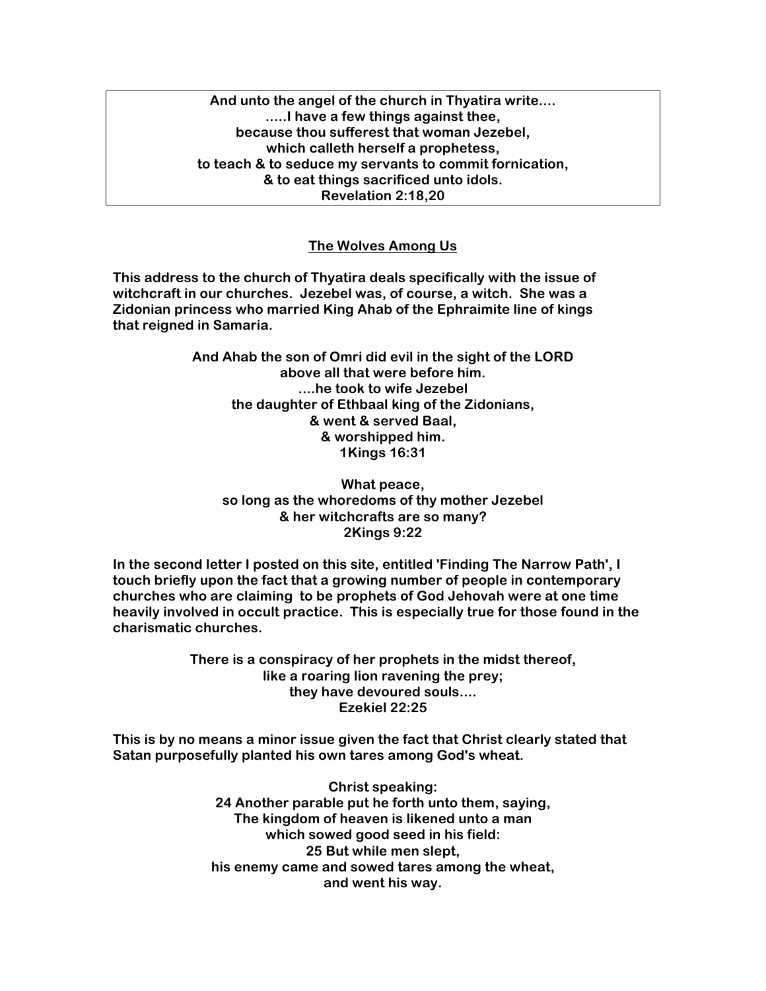**And unto the angel of the church in Thyatira write.... .....I have a few things against thee, because thou sufferest that woman Jezebel, which calleth herself a prophetess, to teach & to seduce my servants to commit fornication, & to eat things sacrificed unto idols. Revelation 2:18,20**

## **The Wolves Among Us**

**This address to the church of Thyatira deals specifically with the issue of witchcraft in our churches. Jezebel was, of course, a witch. She was a Zidonian princess who married King Ahab of the Ephraimite line of kings that reigned in Samaria.**

> **And Ahab the son of Omri did evil in the sight of the LORD above all that were before him. ....he took to wife Jezebel the daughter of Ethbaal king of the Zidonians, & went & served Baal, & worshipped him. 1Kings 16:31**

**What peace, so long as the whoredoms of thy mother Jezebel & her witchcrafts are so many? 2Kings 9:22**

**In the second letter I posted on this site, entitled 'Finding The Narrow Path', I touch briefly upon the fact that a growing number of people in contemporary churches who are claiming to be prophets of God Jehovah were at one time heavily involved in occult practice. This is especially true for those found in the charismatic churches.**

> **There is a conspiracy of her prophets in the midst thereof, like a roaring lion ravening the prey; they have devoured souls.... Ezekiel 22:25**

**This is by no means a minor issue given the fact that Christ clearly stated that Satan purposefully planted his own tares among God's wheat.**

> **Christ speaking: 24 Another parable put he forth unto them, saying, The kingdom of heaven is likened unto a man which sowed good seed in his field: 25 But while men slept, his enemy came and sowed tares among the wheat, and went his way.**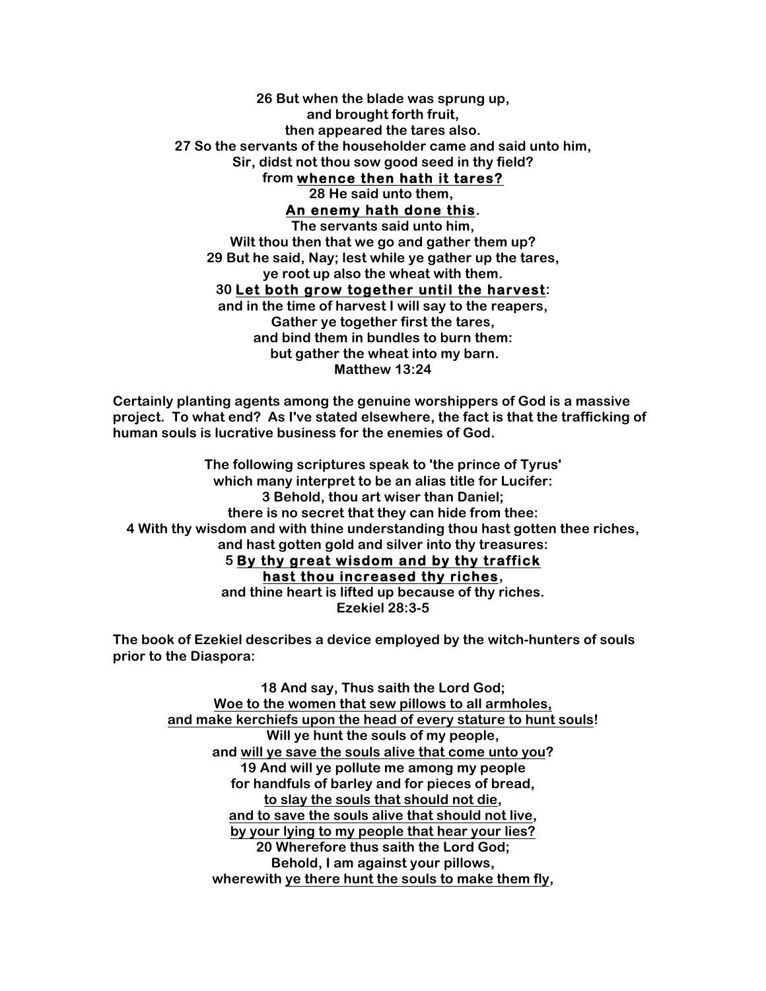## **26 But when the blade was sprung up, and brought forth fruit, then appeared the tares also. 27 So the servants of the householder came and said unto him, Sir, didst not thou sow good seed in thy field? from whence then hath it tares? 28 He said unto them,**

**An enemy hath done this.**

**The servants said unto him, Wilt thou then that we go and gather them up? 29 But he said, Nay; lest while ye gather up the tares, ye root up also the wheat with them. 30 Let both grow together until the harvest: and in the time of harvest I will say to the reapers, Gather ye together first the tares, and bind them in bundles to burn them: but gather the wheat into my barn.**

**Matthew 13:24**

**Certainly planting agents among the genuine worshippers of God is a massive project. To what end? As I've stated elsewhere, the fact is that the trafficking of human souls is lucrative business for the enemies of God.**

**The following scriptures speak to 'the prince of Tyrus' which many interpret to be an alias title for Lucifer: 3 Behold, thou art wiser than Daniel; there is no secret that they can hide from thee: 4 With thy wisdom and with thine understanding thou hast gotten thee riches, and hast gotten gold and silver into thy treasures: 5 By thy great wisdom and by thy traffick** 

**hast thou increased thy riches, and thine heart is lifted up because of thy riches. Ezekiel 28:3-5**

**The book of Ezekiel describes a device employed by the witch-hunters of souls prior to the Diaspora:**

> **18 And say, Thus saith the Lord God; Woe to the women that sew pillows to all armholes, and make kerchiefs upon the head of every stature to hunt souls! Will ye hunt the souls of my people, and will ye save the souls alive that come unto you? 19 And will ye pollute me among my people for handfuls of barley and for pieces of bread, to slay the souls that should not die, and to save the souls alive that should not live, by your lying to my people that hear your lies? 20 Wherefore thus saith the Lord God; Behold, I am against your pillows, wherewith ye there hunt the souls to make them fly,**